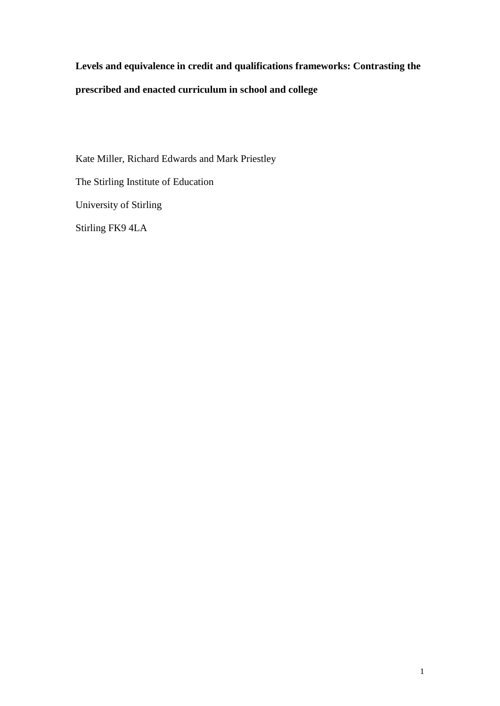**Levels and equivalence in credit and qualifications frameworks: Contrasting the prescribed and enacted curriculum in school and college**

Kate Miller, Richard Edwards and Mark Priestley The Stirling Institute of Education University of Stirling Stirling FK9 4LA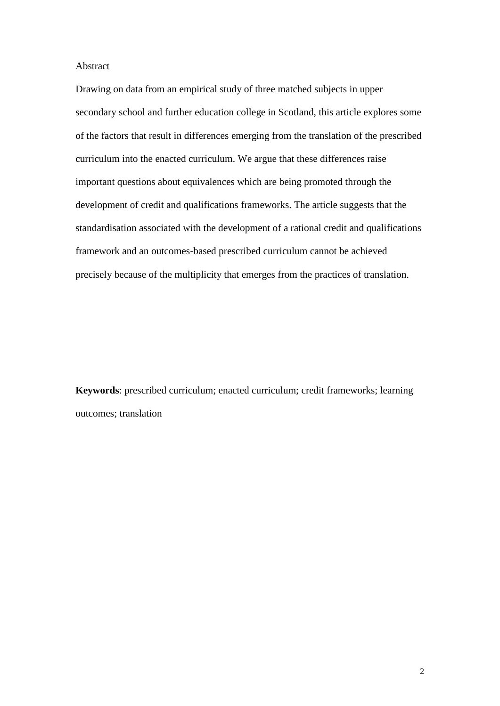### Abstract

Drawing on data from an empirical study of three matched subjects in upper secondary school and further education college in Scotland, this article explores some of the factors that result in differences emerging from the translation of the prescribed curriculum into the enacted curriculum. We argue that these differences raise important questions about equivalences which are being promoted through the development of credit and qualifications frameworks. The article suggests that the standardisation associated with the development of a rational credit and qualifications framework and an outcomes-based prescribed curriculum cannot be achieved precisely because of the multiplicity that emerges from the practices of translation.

**Keywords**: prescribed curriculum; enacted curriculum; credit frameworks; learning outcomes; translation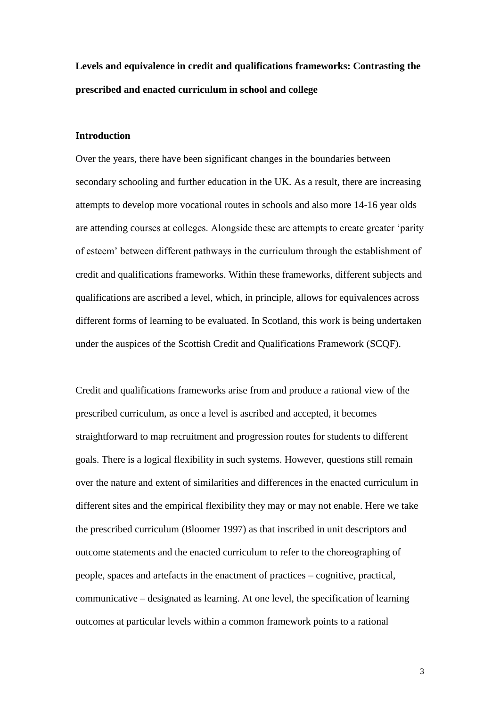**Levels and equivalence in credit and qualifications frameworks: Contrasting the prescribed and enacted curriculum in school and college**

# **Introduction**

Over the years, there have been significant changes in the boundaries between secondary schooling and further education in the UK. As a result, there are increasing attempts to develop more vocational routes in schools and also more 14-16 year olds are attending courses at colleges. Alongside these are attempts to create greater 'parity of esteem' between different pathways in the curriculum through the establishment of credit and qualifications frameworks. Within these frameworks, different subjects and qualifications are ascribed a level, which, in principle, allows for equivalences across different forms of learning to be evaluated. In Scotland, this work is being undertaken under the auspices of the Scottish Credit and Qualifications Framework (SCQF).

Credit and qualifications frameworks arise from and produce a rational view of the prescribed curriculum, as once a level is ascribed and accepted, it becomes straightforward to map recruitment and progression routes for students to different goals. There is a logical flexibility in such systems. However, questions still remain over the nature and extent of similarities and differences in the enacted curriculum in different sites and the empirical flexibility they may or may not enable. Here we take the prescribed curriculum (Bloomer 1997) as that inscribed in unit descriptors and outcome statements and the enacted curriculum to refer to the choreographing of people, spaces and artefacts in the enactment of practices – cognitive, practical, communicative – designated as learning. At one level, the specification of learning outcomes at particular levels within a common framework points to a rational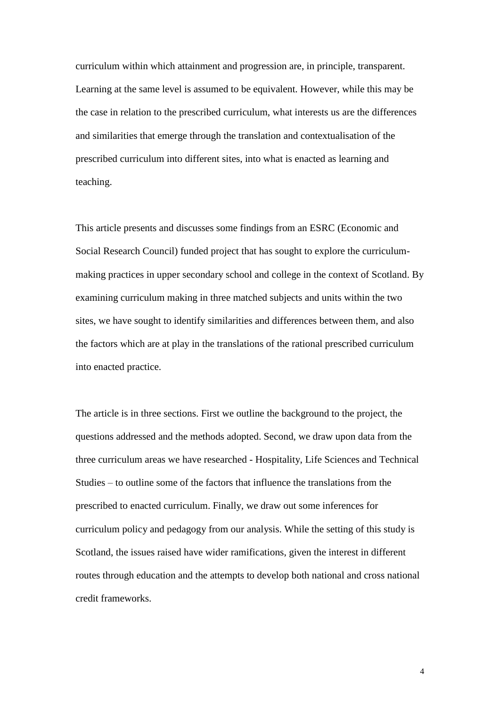curriculum within which attainment and progression are, in principle, transparent. Learning at the same level is assumed to be equivalent. However, while this may be the case in relation to the prescribed curriculum, what interests us are the differences and similarities that emerge through the translation and contextualisation of the prescribed curriculum into different sites, into what is enacted as learning and teaching.

This article presents and discusses some findings from an ESRC (Economic and Social Research Council) funded project that has sought to explore the curriculummaking practices in upper secondary school and college in the context of Scotland. By examining curriculum making in three matched subjects and units within the two sites, we have sought to identify similarities and differences between them, and also the factors which are at play in the translations of the rational prescribed curriculum into enacted practice.

The article is in three sections. First we outline the background to the project, the questions addressed and the methods adopted. Second, we draw upon data from the three curriculum areas we have researched - Hospitality, Life Sciences and Technical Studies – to outline some of the factors that influence the translations from the prescribed to enacted curriculum. Finally, we draw out some inferences for curriculum policy and pedagogy from our analysis. While the setting of this study is Scotland, the issues raised have wider ramifications, given the interest in different routes through education and the attempts to develop both national and cross national credit frameworks.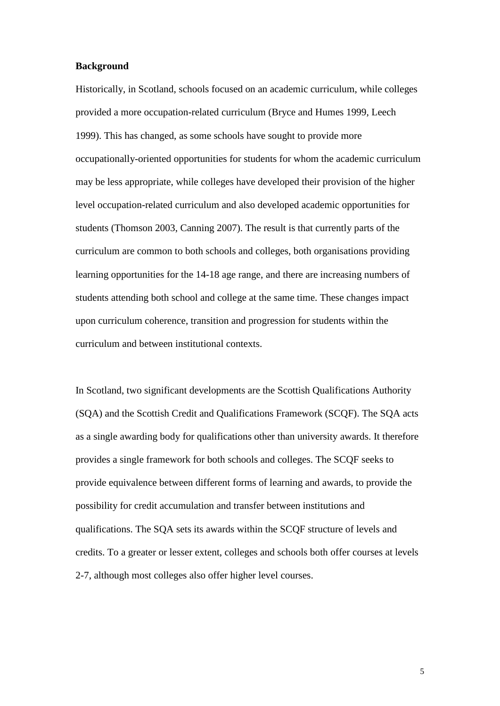#### **Background**

Historically, in Scotland, schools focused on an academic curriculum, while colleges provided a more occupation-related curriculum (Bryce and Humes 1999, Leech 1999). This has changed, as some schools have sought to provide more occupationally-oriented opportunities for students for whom the academic curriculum may be less appropriate, while colleges have developed their provision of the higher level occupation-related curriculum and also developed academic opportunities for students (Thomson 2003, Canning 2007). The result is that currently parts of the curriculum are common to both schools and colleges, both organisations providing learning opportunities for the 14-18 age range, and there are increasing numbers of students attending both school and college at the same time. These changes impact upon curriculum coherence, transition and progression for students within the curriculum and between institutional contexts.

In Scotland, two significant developments are the Scottish Qualifications Authority (SQA) and the Scottish Credit and Qualifications Framework (SCQF). The SQA acts as a single awarding body for qualifications other than university awards. It therefore provides a single framework for both schools and colleges. The SCQF seeks to provide equivalence between different forms of learning and awards, to provide the possibility for credit accumulation and transfer between institutions and qualifications. The SQA sets its awards within the SCQF structure of levels and credits. To a greater or lesser extent, colleges and schools both offer courses at levels 2-7, although most colleges also offer higher level courses.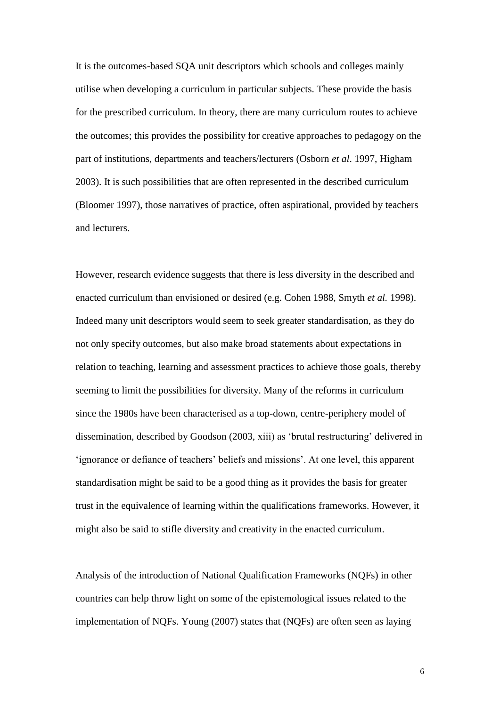It is the outcomes-based SQA unit descriptors which schools and colleges mainly utilise when developing a curriculum in particular subjects. These provide the basis for the prescribed curriculum. In theory, there are many curriculum routes to achieve the outcomes; this provides the possibility for creative approaches to pedagogy on the part of institutions, departments and teachers/lecturers (Osborn *et al*. 1997, Higham 2003). It is such possibilities that are often represented in the described curriculum (Bloomer 1997), those narratives of practice, often aspirational, provided by teachers and lecturers.

However, research evidence suggests that there is less diversity in the described and enacted curriculum than envisioned or desired (e.g. Cohen 1988, Smyth *et al.* 1998). Indeed many unit descriptors would seem to seek greater standardisation, as they do not only specify outcomes, but also make broad statements about expectations in relation to teaching, learning and assessment practices to achieve those goals, thereby seeming to limit the possibilities for diversity. Many of the reforms in curriculum since the 1980s have been characterised as a top-down, centre-periphery model of dissemination, described by Goodson (2003, xiii) as 'brutal restructuring' delivered in 'ignorance or defiance of teachers' beliefs and missions'. At one level, this apparent standardisation might be said to be a good thing as it provides the basis for greater trust in the equivalence of learning within the qualifications frameworks. However, it might also be said to stifle diversity and creativity in the enacted curriculum.

Analysis of the introduction of National Qualification Frameworks (NQFs) in other countries can help throw light on some of the epistemological issues related to the implementation of NQFs. Young (2007) states that (NQFs) are often seen as laying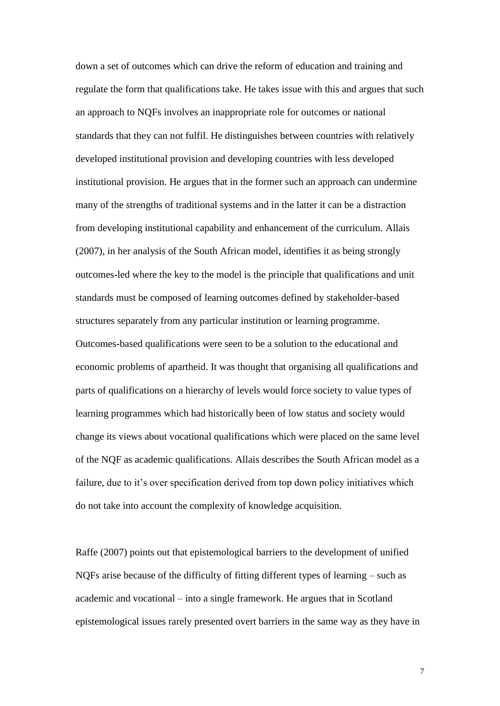down a set of outcomes which can drive the reform of education and training and regulate the form that qualifications take. He takes issue with this and argues that such an approach to NQFs involves an inappropriate role for outcomes or national standards that they can not fulfil. He distinguishes between countries with relatively developed institutional provision and developing countries with less developed institutional provision. He argues that in the former such an approach can undermine many of the strengths of traditional systems and in the latter it can be a distraction from developing institutional capability and enhancement of the curriculum. Allais (2007), in her analysis of the South African model, identifies it as being strongly outcomes-led where the key to the model is the principle that qualifications and unit standards must be composed of learning outcomes defined by stakeholder-based structures separately from any particular institution or learning programme. Outcomes-based qualifications were seen to be a solution to the educational and economic problems of apartheid. It was thought that organising all qualifications and parts of qualifications on a hierarchy of levels would force society to value types of learning programmes which had historically been of low status and society would change its views about vocational qualifications which were placed on the same level of the NQF as academic qualifications. Allais describes the South African model as a failure, due to it's over specification derived from top down policy initiatives which do not take into account the complexity of knowledge acquisition.

Raffe (2007) points out that epistemological barriers to the development of unified NQFs arise because of the difficulty of fitting different types of learning – such as academic and vocational – into a single framework. He argues that in Scotland epistemological issues rarely presented overt barriers in the same way as they have in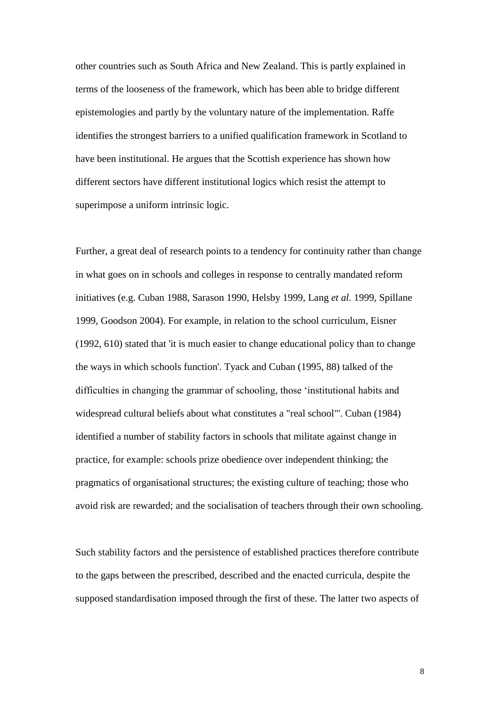other countries such as South Africa and New Zealand. This is partly explained in terms of the looseness of the framework, which has been able to bridge different epistemologies and partly by the voluntary nature of the implementation. Raffe identifies the strongest barriers to a unified qualification framework in Scotland to have been institutional. He argues that the Scottish experience has shown how different sectors have different institutional logics which resist the attempt to superimpose a uniform intrinsic logic.

Further, a great deal of research points to a tendency for continuity rather than change in what goes on in schools and colleges in response to centrally mandated reform initiatives (e.g. Cuban 1988, Sarason 1990, Helsby 1999, Lang *et al.* 1999, Spillane 1999, Goodson 2004). For example, in relation to the school curriculum, Eisner (1992, 610) stated that 'it is much easier to change educational policy than to change the ways in which schools function'. Tyack and Cuban (1995, 88) talked of the difficulties in changing the grammar of schooling, those 'institutional habits and widespread cultural beliefs about what constitutes a "real school"'. Cuban (1984) identified a number of stability factors in schools that militate against change in practice, for example: schools prize obedience over independent thinking; the pragmatics of organisational structures; the existing culture of teaching; those who avoid risk are rewarded; and the socialisation of teachers through their own schooling.

Such stability factors and the persistence of established practices therefore contribute to the gaps between the prescribed, described and the enacted curricula, despite the supposed standardisation imposed through the first of these. The latter two aspects of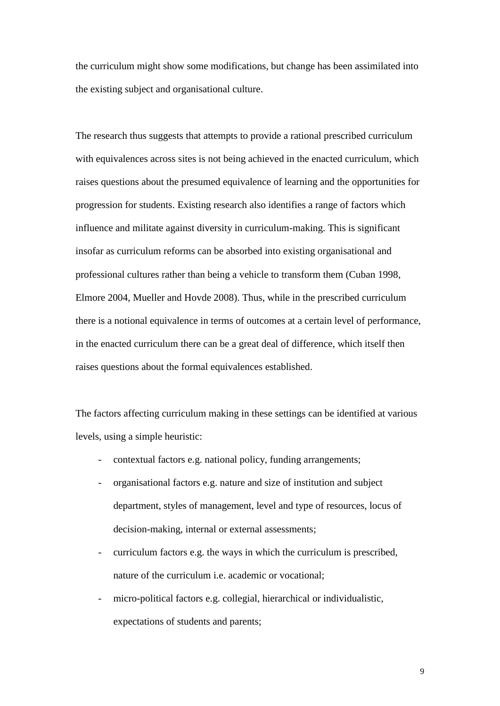the curriculum might show some modifications, but change has been assimilated into the existing subject and organisational culture.

The research thus suggests that attempts to provide a rational prescribed curriculum with equivalences across sites is not being achieved in the enacted curriculum, which raises questions about the presumed equivalence of learning and the opportunities for progression for students. Existing research also identifies a range of factors which influence and militate against diversity in curriculum-making. This is significant insofar as curriculum reforms can be absorbed into existing organisational and professional cultures rather than being a vehicle to transform them (Cuban 1998, Elmore 2004, Mueller and Hovde 2008). Thus, while in the prescribed curriculum there is a notional equivalence in terms of outcomes at a certain level of performance, in the enacted curriculum there can be a great deal of difference, which itself then raises questions about the formal equivalences established.

The factors affecting curriculum making in these settings can be identified at various levels, using a simple heuristic:

- contextual factors e.g. national policy, funding arrangements;
- organisational factors e.g. nature and size of institution and subject department, styles of management, level and type of resources, locus of decision-making, internal or external assessments;
- curriculum factors e.g. the ways in which the curriculum is prescribed, nature of the curriculum i.e. academic or vocational;
- micro-political factors e.g. collegial, hierarchical or individualistic, expectations of students and parents;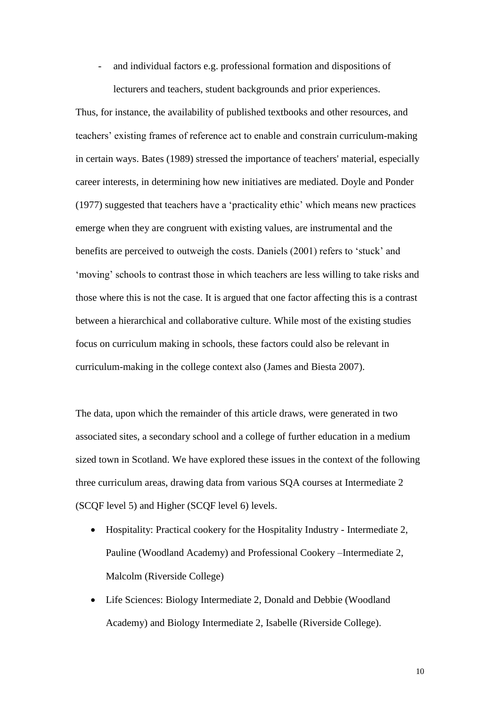- and individual factors e.g. professional formation and dispositions of lecturers and teachers, student backgrounds and prior experiences.

Thus, for instance, the availability of published textbooks and other resources, and teachers' existing frames of reference act to enable and constrain curriculum-making in certain ways. Bates (1989) stressed the importance of teachers' material, especially career interests, in determining how new initiatives are mediated. Doyle and Ponder (1977) suggested that teachers have a 'practicality ethic' which means new practices emerge when they are congruent with existing values, are instrumental and the benefits are perceived to outweigh the costs. Daniels (2001) refers to 'stuck' and 'moving' schools to contrast those in which teachers are less willing to take risks and those where this is not the case. It is argued that one factor affecting this is a contrast between a hierarchical and collaborative culture. While most of the existing studies focus on curriculum making in schools, these factors could also be relevant in curriculum-making in the college context also (James and Biesta 2007).

The data, upon which the remainder of this article draws, were generated in two associated sites, a secondary school and a college of further education in a medium sized town in Scotland. We have explored these issues in the context of the following three curriculum areas, drawing data from various SQA courses at Intermediate 2 (SCQF level 5) and Higher (SCQF level 6) levels.

- Hospitality: Practical cookery for the Hospitality Industry Intermediate 2, Pauline (Woodland Academy) and Professional Cookery –Intermediate 2, Malcolm (Riverside College)
- Life Sciences: Biology Intermediate 2, Donald and Debbie (Woodland Academy) and Biology Intermediate 2, Isabelle (Riverside College).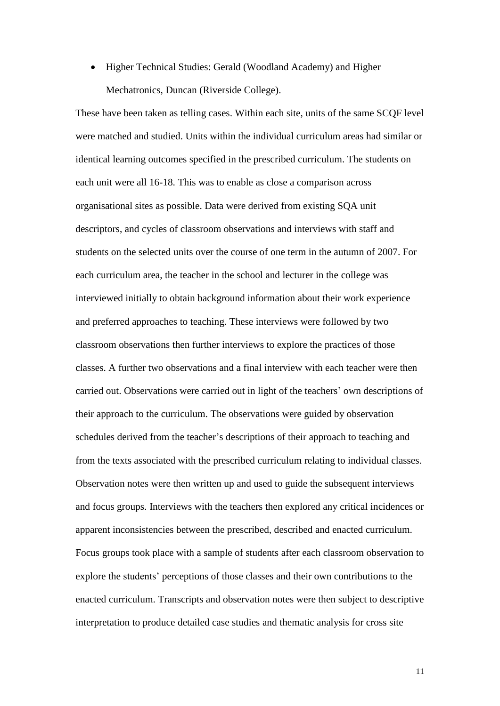Higher Technical Studies: Gerald (Woodland Academy) and Higher Mechatronics, Duncan (Riverside College).

These have been taken as telling cases. Within each site, units of the same SCQF level were matched and studied. Units within the individual curriculum areas had similar or identical learning outcomes specified in the prescribed curriculum. The students on each unit were all 16-18. This was to enable as close a comparison across organisational sites as possible. Data were derived from existing SQA unit descriptors, and cycles of classroom observations and interviews with staff and students on the selected units over the course of one term in the autumn of 2007. For each curriculum area, the teacher in the school and lecturer in the college was interviewed initially to obtain background information about their work experience and preferred approaches to teaching. These interviews were followed by two classroom observations then further interviews to explore the practices of those classes. A further two observations and a final interview with each teacher were then carried out. Observations were carried out in light of the teachers' own descriptions of their approach to the curriculum. The observations were guided by observation schedules derived from the teacher's descriptions of their approach to teaching and from the texts associated with the prescribed curriculum relating to individual classes. Observation notes were then written up and used to guide the subsequent interviews and focus groups. Interviews with the teachers then explored any critical incidences or apparent inconsistencies between the prescribed, described and enacted curriculum. Focus groups took place with a sample of students after each classroom observation to explore the students' perceptions of those classes and their own contributions to the enacted curriculum. Transcripts and observation notes were then subject to descriptive interpretation to produce detailed case studies and thematic analysis for cross site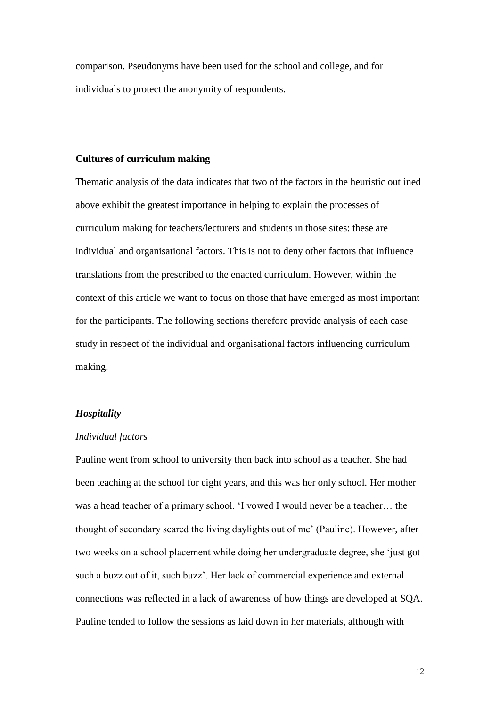comparison. Pseudonyms have been used for the school and college, and for individuals to protect the anonymity of respondents.

#### **Cultures of curriculum making**

Thematic analysis of the data indicates that two of the factors in the heuristic outlined above exhibit the greatest importance in helping to explain the processes of curriculum making for teachers/lecturers and students in those sites: these are individual and organisational factors. This is not to deny other factors that influence translations from the prescribed to the enacted curriculum. However, within the context of this article we want to focus on those that have emerged as most important for the participants. The following sections therefore provide analysis of each case study in respect of the individual and organisational factors influencing curriculum making.

## *Hospitality*

#### *Individual factors*

Pauline went from school to university then back into school as a teacher. She had been teaching at the school for eight years, and this was her only school. Her mother was a head teacher of a primary school. 'I vowed I would never be a teacher… the thought of secondary scared the living daylights out of me' (Pauline). However, after two weeks on a school placement while doing her undergraduate degree, she 'just got such a buzz out of it, such buzz'. Her lack of commercial experience and external connections was reflected in a lack of awareness of how things are developed at SQA. Pauline tended to follow the sessions as laid down in her materials, although with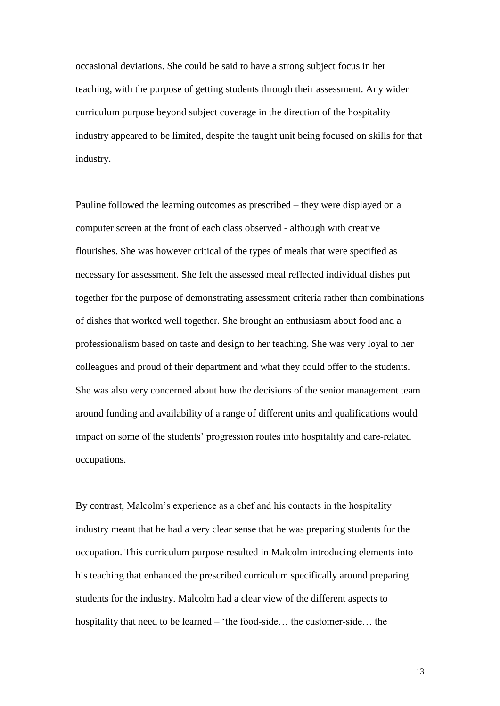occasional deviations. She could be said to have a strong subject focus in her teaching, with the purpose of getting students through their assessment. Any wider curriculum purpose beyond subject coverage in the direction of the hospitality industry appeared to be limited, despite the taught unit being focused on skills for that industry.

Pauline followed the learning outcomes as prescribed – they were displayed on a computer screen at the front of each class observed - although with creative flourishes. She was however critical of the types of meals that were specified as necessary for assessment. She felt the assessed meal reflected individual dishes put together for the purpose of demonstrating assessment criteria rather than combinations of dishes that worked well together. She brought an enthusiasm about food and a professionalism based on taste and design to her teaching. She was very loyal to her colleagues and proud of their department and what they could offer to the students. She was also very concerned about how the decisions of the senior management team around funding and availability of a range of different units and qualifications would impact on some of the students' progression routes into hospitality and care-related occupations.

By contrast, Malcolm's experience as a chef and his contacts in the hospitality industry meant that he had a very clear sense that he was preparing students for the occupation. This curriculum purpose resulted in Malcolm introducing elements into his teaching that enhanced the prescribed curriculum specifically around preparing students for the industry. Malcolm had a clear view of the different aspects to hospitality that need to be learned – 'the food-side… the customer-side… the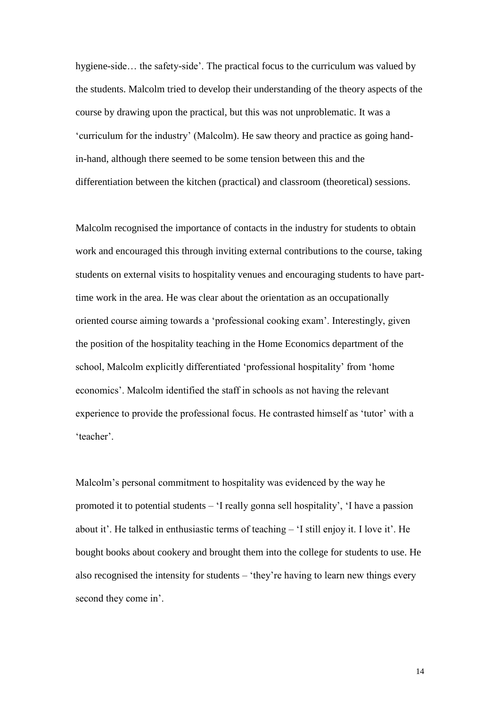hygiene-side… the safety-side'. The practical focus to the curriculum was valued by the students. Malcolm tried to develop their understanding of the theory aspects of the course by drawing upon the practical, but this was not unproblematic. It was a 'curriculum for the industry' (Malcolm). He saw theory and practice as going handin-hand, although there seemed to be some tension between this and the differentiation between the kitchen (practical) and classroom (theoretical) sessions.

Malcolm recognised the importance of contacts in the industry for students to obtain work and encouraged this through inviting external contributions to the course, taking students on external visits to hospitality venues and encouraging students to have parttime work in the area. He was clear about the orientation as an occupationally oriented course aiming towards a 'professional cooking exam'. Interestingly, given the position of the hospitality teaching in the Home Economics department of the school, Malcolm explicitly differentiated 'professional hospitality' from 'home economics'. Malcolm identified the staff in schools as not having the relevant experience to provide the professional focus. He contrasted himself as 'tutor' with a 'teacher'.

Malcolm's personal commitment to hospitality was evidenced by the way he promoted it to potential students – 'I really gonna sell hospitality', 'I have a passion about it'. He talked in enthusiastic terms of teaching – 'I still enjoy it. I love it'. He bought books about cookery and brought them into the college for students to use. He also recognised the intensity for students – 'they're having to learn new things every second they come in'.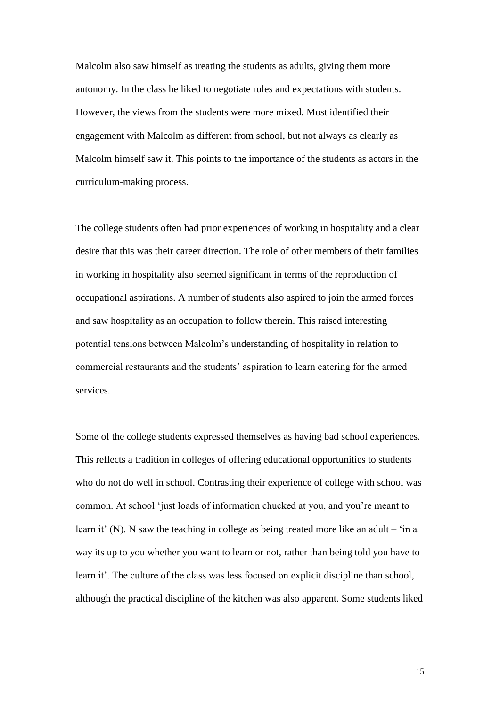Malcolm also saw himself as treating the students as adults, giving them more autonomy. In the class he liked to negotiate rules and expectations with students. However, the views from the students were more mixed. Most identified their engagement with Malcolm as different from school, but not always as clearly as Malcolm himself saw it. This points to the importance of the students as actors in the curriculum-making process.

The college students often had prior experiences of working in hospitality and a clear desire that this was their career direction. The role of other members of their families in working in hospitality also seemed significant in terms of the reproduction of occupational aspirations. A number of students also aspired to join the armed forces and saw hospitality as an occupation to follow therein. This raised interesting potential tensions between Malcolm's understanding of hospitality in relation to commercial restaurants and the students' aspiration to learn catering for the armed services.

Some of the college students expressed themselves as having bad school experiences. This reflects a tradition in colleges of offering educational opportunities to students who do not do well in school. Contrasting their experience of college with school was common. At school 'just loads of information chucked at you, and you're meant to learn it' (N). N saw the teaching in college as being treated more like an adult – 'in a way its up to you whether you want to learn or not, rather than being told you have to learn it'. The culture of the class was less focused on explicit discipline than school, although the practical discipline of the kitchen was also apparent. Some students liked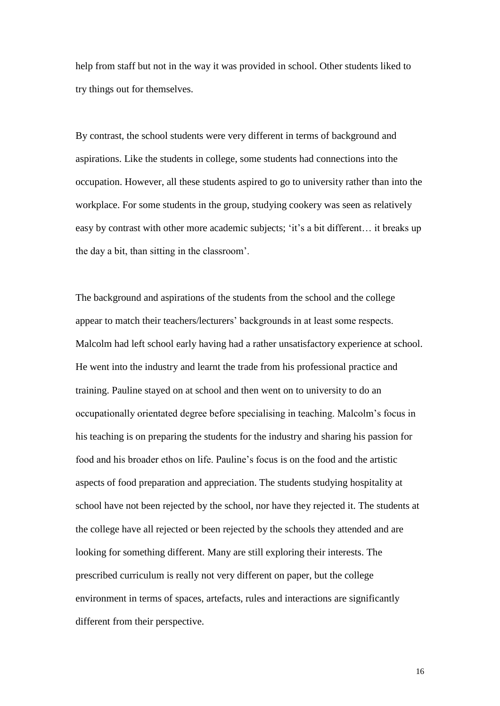help from staff but not in the way it was provided in school. Other students liked to try things out for themselves.

By contrast, the school students were very different in terms of background and aspirations. Like the students in college, some students had connections into the occupation. However, all these students aspired to go to university rather than into the workplace. For some students in the group, studying cookery was seen as relatively easy by contrast with other more academic subjects; 'it's a bit different… it breaks up the day a bit, than sitting in the classroom'.

The background and aspirations of the students from the school and the college appear to match their teachers/lecturers' backgrounds in at least some respects. Malcolm had left school early having had a rather unsatisfactory experience at school. He went into the industry and learnt the trade from his professional practice and training. Pauline stayed on at school and then went on to university to do an occupationally orientated degree before specialising in teaching. Malcolm's focus in his teaching is on preparing the students for the industry and sharing his passion for food and his broader ethos on life. Pauline's focus is on the food and the artistic aspects of food preparation and appreciation. The students studying hospitality at school have not been rejected by the school, nor have they rejected it. The students at the college have all rejected or been rejected by the schools they attended and are looking for something different. Many are still exploring their interests. The prescribed curriculum is really not very different on paper, but the college environment in terms of spaces, artefacts, rules and interactions are significantly different from their perspective.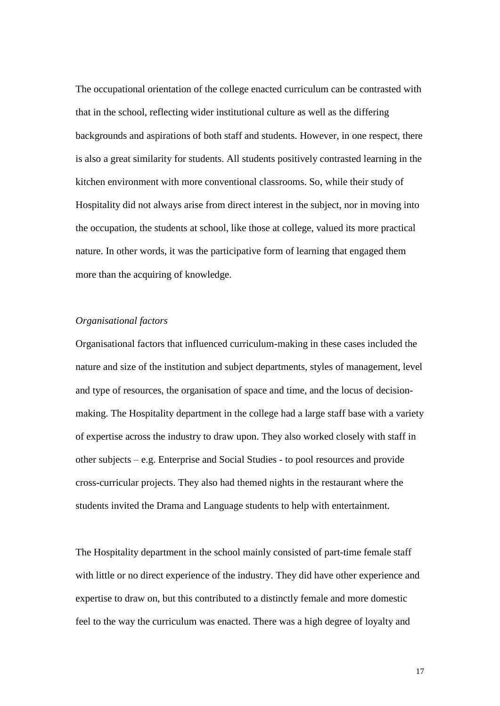The occupational orientation of the college enacted curriculum can be contrasted with that in the school, reflecting wider institutional culture as well as the differing backgrounds and aspirations of both staff and students. However, in one respect, there is also a great similarity for students. All students positively contrasted learning in the kitchen environment with more conventional classrooms. So, while their study of Hospitality did not always arise from direct interest in the subject, nor in moving into the occupation, the students at school, like those at college, valued its more practical nature. In other words, it was the participative form of learning that engaged them more than the acquiring of knowledge.

# *Organisational factors*

Organisational factors that influenced curriculum-making in these cases included the nature and size of the institution and subject departments, styles of management, level and type of resources, the organisation of space and time, and the locus of decisionmaking. The Hospitality department in the college had a large staff base with a variety of expertise across the industry to draw upon. They also worked closely with staff in other subjects – e.g. Enterprise and Social Studies - to pool resources and provide cross-curricular projects. They also had themed nights in the restaurant where the students invited the Drama and Language students to help with entertainment.

The Hospitality department in the school mainly consisted of part-time female staff with little or no direct experience of the industry. They did have other experience and expertise to draw on, but this contributed to a distinctly female and more domestic feel to the way the curriculum was enacted. There was a high degree of loyalty and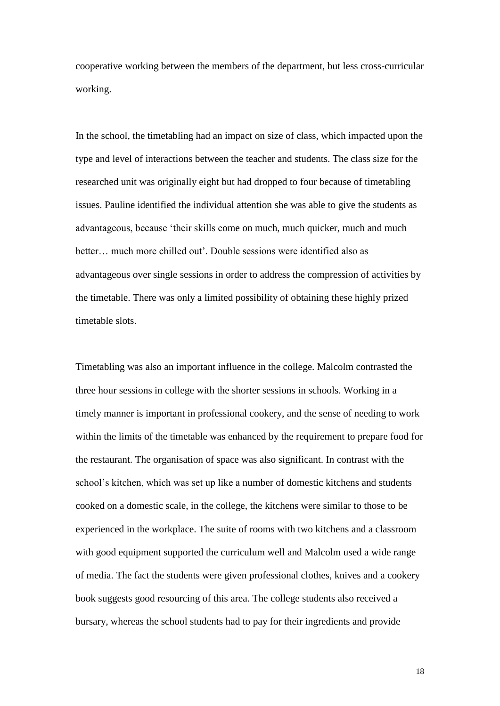cooperative working between the members of the department, but less cross-curricular working.

In the school, the timetabling had an impact on size of class, which impacted upon the type and level of interactions between the teacher and students. The class size for the researched unit was originally eight but had dropped to four because of timetabling issues. Pauline identified the individual attention she was able to give the students as advantageous, because 'their skills come on much, much quicker, much and much better… much more chilled out'. Double sessions were identified also as advantageous over single sessions in order to address the compression of activities by the timetable. There was only a limited possibility of obtaining these highly prized timetable slots.

Timetabling was also an important influence in the college. Malcolm contrasted the three hour sessions in college with the shorter sessions in schools. Working in a timely manner is important in professional cookery, and the sense of needing to work within the limits of the timetable was enhanced by the requirement to prepare food for the restaurant. The organisation of space was also significant. In contrast with the school's kitchen, which was set up like a number of domestic kitchens and students cooked on a domestic scale, in the college, the kitchens were similar to those to be experienced in the workplace. The suite of rooms with two kitchens and a classroom with good equipment supported the curriculum well and Malcolm used a wide range of media. The fact the students were given professional clothes, knives and a cookery book suggests good resourcing of this area. The college students also received a bursary, whereas the school students had to pay for their ingredients and provide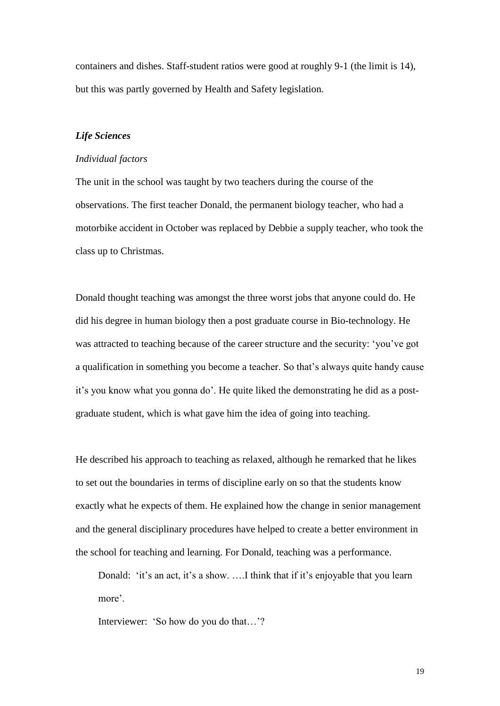containers and dishes. Staff-student ratios were good at roughly 9-1 (the limit is 14), but this was partly governed by Health and Safety legislation.

# *Life Sciences*

## *Individual factors*

The unit in the school was taught by two teachers during the course of the observations. The first teacher Donald, the permanent biology teacher, who had a motorbike accident in October was replaced by Debbie a supply teacher, who took the class up to Christmas.

Donald thought teaching was amongst the three worst jobs that anyone could do. He did his degree in human biology then a post graduate course in Bio-technology. He was attracted to teaching because of the career structure and the security: 'you've got a qualification in something you become a teacher. So that's always quite handy cause it's you know what you gonna do'. He quite liked the demonstrating he did as a postgraduate student, which is what gave him the idea of going into teaching.

He described his approach to teaching as relaxed, although he remarked that he likes to set out the boundaries in terms of discipline early on so that the students know exactly what he expects of them. He explained how the change in senior management and the general disciplinary procedures have helped to create a better environment in the school for teaching and learning. For Donald, teaching was a performance.

Donald: 'it's an act, it's a show. ….I think that if it's enjoyable that you learn more'.

Interviewer: 'So how do you do that…'?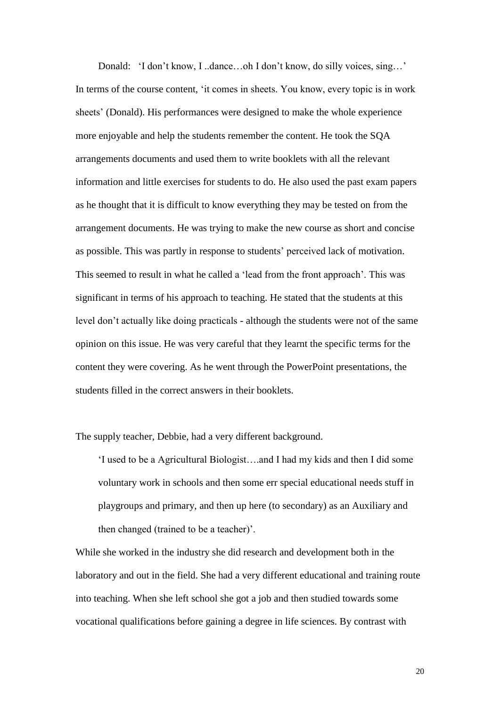Donald: 'I don't know, I ..dance…oh I don't know, do silly voices, sing…' In terms of the course content, 'it comes in sheets. You know, every topic is in work sheets' (Donald). His performances were designed to make the whole experience more enjoyable and help the students remember the content. He took the SQA arrangements documents and used them to write booklets with all the relevant information and little exercises for students to do. He also used the past exam papers as he thought that it is difficult to know everything they may be tested on from the arrangement documents. He was trying to make the new course as short and concise as possible. This was partly in response to students' perceived lack of motivation. This seemed to result in what he called a 'lead from the front approach'. This was significant in terms of his approach to teaching. He stated that the students at this level don't actually like doing practicals - although the students were not of the same opinion on this issue. He was very careful that they learnt the specific terms for the content they were covering. As he went through the PowerPoint presentations, the students filled in the correct answers in their booklets.

The supply teacher, Debbie, had a very different background.

'I used to be a Agricultural Biologist….and I had my kids and then I did some voluntary work in schools and then some err special educational needs stuff in playgroups and primary, and then up here (to secondary) as an Auxiliary and then changed (trained to be a teacher)'.

While she worked in the industry she did research and development both in the laboratory and out in the field. She had a very different educational and training route into teaching. When she left school she got a job and then studied towards some vocational qualifications before gaining a degree in life sciences. By contrast with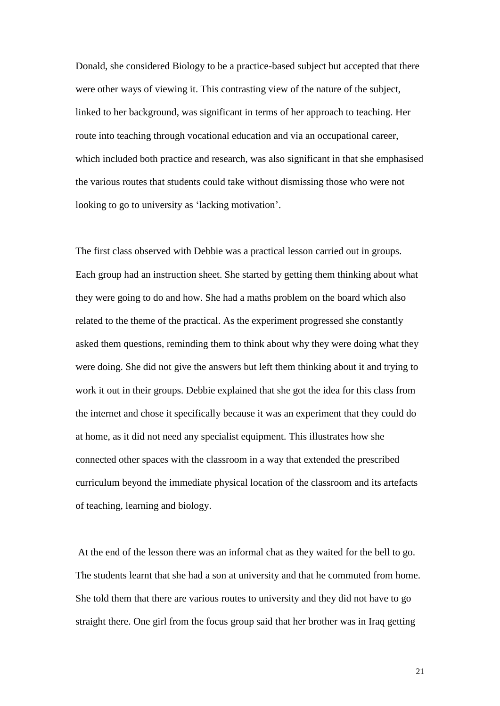Donald, she considered Biology to be a practice-based subject but accepted that there were other ways of viewing it. This contrasting view of the nature of the subject, linked to her background, was significant in terms of her approach to teaching. Her route into teaching through vocational education and via an occupational career, which included both practice and research, was also significant in that she emphasised the various routes that students could take without dismissing those who were not looking to go to university as 'lacking motivation'.

The first class observed with Debbie was a practical lesson carried out in groups. Each group had an instruction sheet. She started by getting them thinking about what they were going to do and how. She had a maths problem on the board which also related to the theme of the practical. As the experiment progressed she constantly asked them questions, reminding them to think about why they were doing what they were doing. She did not give the answers but left them thinking about it and trying to work it out in their groups. Debbie explained that she got the idea for this class from the internet and chose it specifically because it was an experiment that they could do at home, as it did not need any specialist equipment. This illustrates how she connected other spaces with the classroom in a way that extended the prescribed curriculum beyond the immediate physical location of the classroom and its artefacts of teaching, learning and biology.

At the end of the lesson there was an informal chat as they waited for the bell to go. The students learnt that she had a son at university and that he commuted from home. She told them that there are various routes to university and they did not have to go straight there. One girl from the focus group said that her brother was in Iraq getting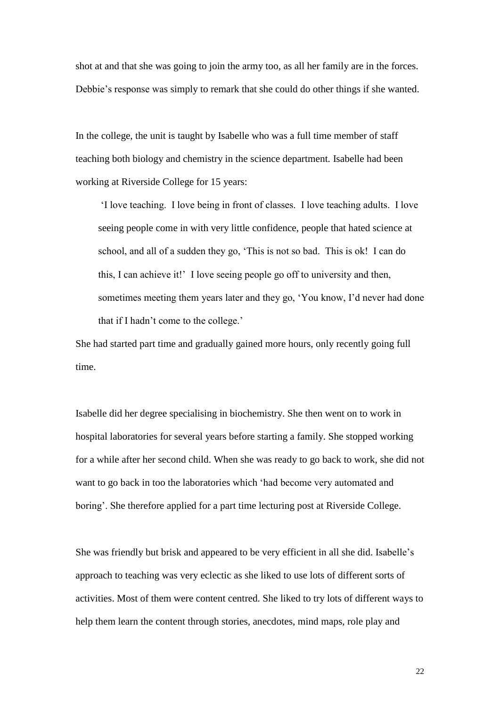shot at and that she was going to join the army too, as all her family are in the forces. Debbie's response was simply to remark that she could do other things if she wanted.

In the college, the unit is taught by Isabelle who was a full time member of staff teaching both biology and chemistry in the science department. Isabelle had been working at Riverside College for 15 years:

'I love teaching. I love being in front of classes. I love teaching adults. I love seeing people come in with very little confidence, people that hated science at school, and all of a sudden they go, 'This is not so bad. This is ok! I can do this, I can achieve it!' I love seeing people go off to university and then, sometimes meeting them years later and they go, 'You know, I'd never had done that if I hadn't come to the college.'

She had started part time and gradually gained more hours, only recently going full time.

Isabelle did her degree specialising in biochemistry. She then went on to work in hospital laboratories for several years before starting a family. She stopped working for a while after her second child. When she was ready to go back to work, she did not want to go back in too the laboratories which 'had become very automated and boring'. She therefore applied for a part time lecturing post at Riverside College.

She was friendly but brisk and appeared to be very efficient in all she did. Isabelle's approach to teaching was very eclectic as she liked to use lots of different sorts of activities. Most of them were content centred. She liked to try lots of different ways to help them learn the content through stories, anecdotes, mind maps, role play and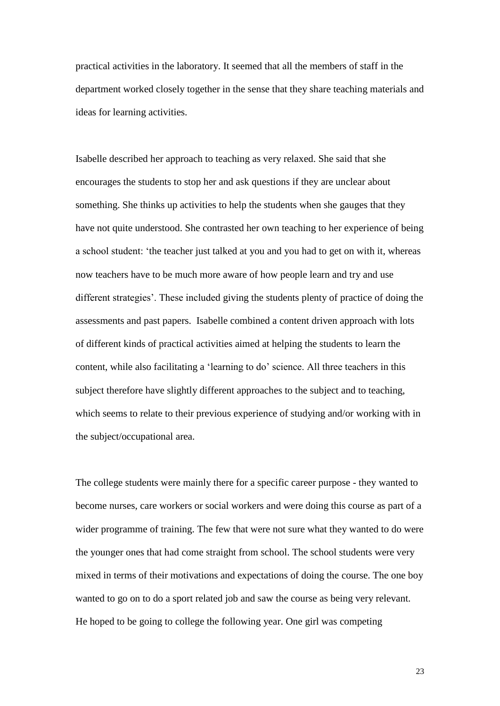practical activities in the laboratory. It seemed that all the members of staff in the department worked closely together in the sense that they share teaching materials and ideas for learning activities.

Isabelle described her approach to teaching as very relaxed. She said that she encourages the students to stop her and ask questions if they are unclear about something. She thinks up activities to help the students when she gauges that they have not quite understood. She contrasted her own teaching to her experience of being a school student: 'the teacher just talked at you and you had to get on with it, whereas now teachers have to be much more aware of how people learn and try and use different strategies'. These included giving the students plenty of practice of doing the assessments and past papers. Isabelle combined a content driven approach with lots of different kinds of practical activities aimed at helping the students to learn the content, while also facilitating a 'learning to do' science. All three teachers in this subject therefore have slightly different approaches to the subject and to teaching, which seems to relate to their previous experience of studying and/or working with in the subject/occupational area.

The college students were mainly there for a specific career purpose - they wanted to become nurses, care workers or social workers and were doing this course as part of a wider programme of training. The few that were not sure what they wanted to do were the younger ones that had come straight from school. The school students were very mixed in terms of their motivations and expectations of doing the course. The one boy wanted to go on to do a sport related job and saw the course as being very relevant. He hoped to be going to college the following year. One girl was competing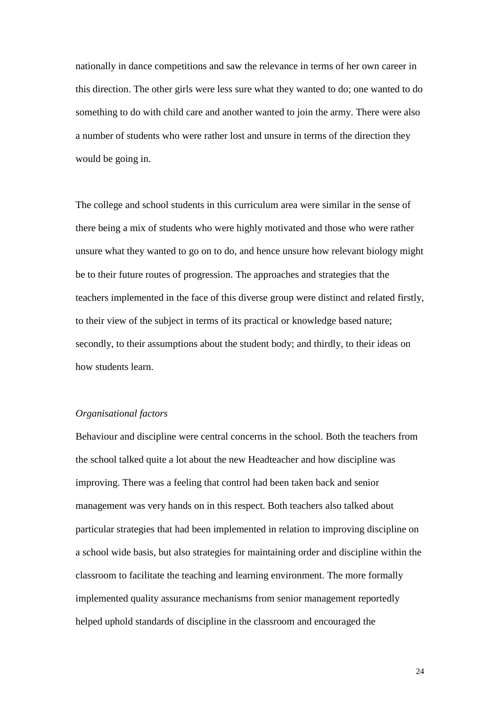nationally in dance competitions and saw the relevance in terms of her own career in this direction. The other girls were less sure what they wanted to do; one wanted to do something to do with child care and another wanted to join the army. There were also a number of students who were rather lost and unsure in terms of the direction they would be going in.

The college and school students in this curriculum area were similar in the sense of there being a mix of students who were highly motivated and those who were rather unsure what they wanted to go on to do, and hence unsure how relevant biology might be to their future routes of progression. The approaches and strategies that the teachers implemented in the face of this diverse group were distinct and related firstly, to their view of the subject in terms of its practical or knowledge based nature; secondly, to their assumptions about the student body; and thirdly, to their ideas on how students learn.

## *Organisational factors*

Behaviour and discipline were central concerns in the school. Both the teachers from the school talked quite a lot about the new Headteacher and how discipline was improving. There was a feeling that control had been taken back and senior management was very hands on in this respect. Both teachers also talked about particular strategies that had been implemented in relation to improving discipline on a school wide basis, but also strategies for maintaining order and discipline within the classroom to facilitate the teaching and learning environment. The more formally implemented quality assurance mechanisms from senior management reportedly helped uphold standards of discipline in the classroom and encouraged the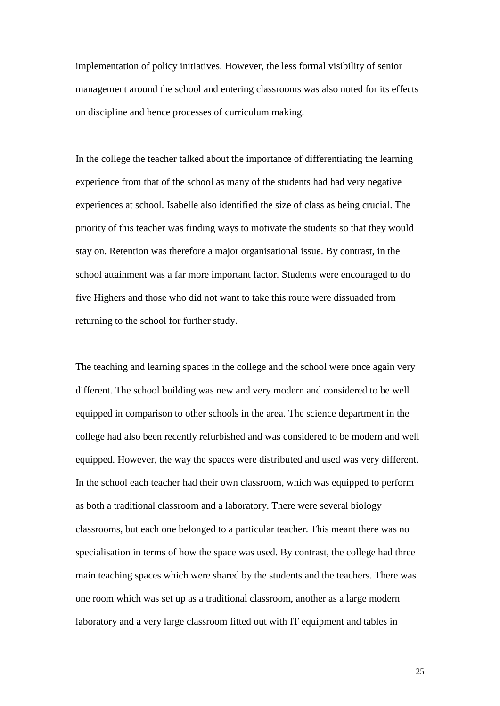implementation of policy initiatives. However, the less formal visibility of senior management around the school and entering classrooms was also noted for its effects on discipline and hence processes of curriculum making.

In the college the teacher talked about the importance of differentiating the learning experience from that of the school as many of the students had had very negative experiences at school. Isabelle also identified the size of class as being crucial. The priority of this teacher was finding ways to motivate the students so that they would stay on. Retention was therefore a major organisational issue. By contrast, in the school attainment was a far more important factor. Students were encouraged to do five Highers and those who did not want to take this route were dissuaded from returning to the school for further study.

The teaching and learning spaces in the college and the school were once again very different. The school building was new and very modern and considered to be well equipped in comparison to other schools in the area. The science department in the college had also been recently refurbished and was considered to be modern and well equipped. However, the way the spaces were distributed and used was very different. In the school each teacher had their own classroom, which was equipped to perform as both a traditional classroom and a laboratory. There were several biology classrooms, but each one belonged to a particular teacher. This meant there was no specialisation in terms of how the space was used. By contrast, the college had three main teaching spaces which were shared by the students and the teachers. There was one room which was set up as a traditional classroom, another as a large modern laboratory and a very large classroom fitted out with IT equipment and tables in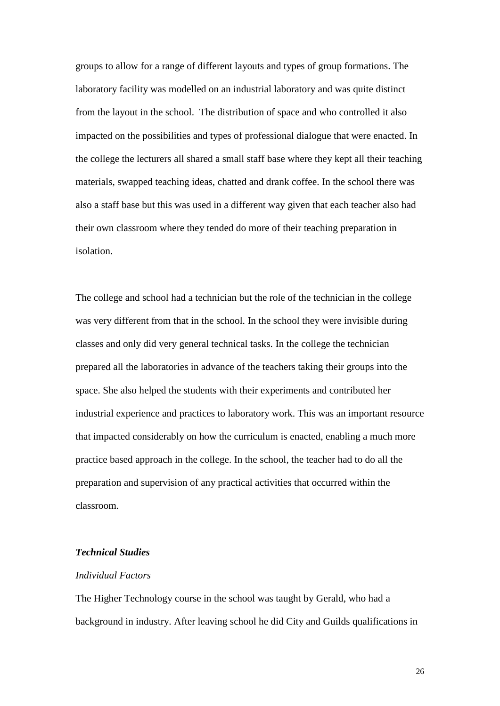groups to allow for a range of different layouts and types of group formations. The laboratory facility was modelled on an industrial laboratory and was quite distinct from the layout in the school. The distribution of space and who controlled it also impacted on the possibilities and types of professional dialogue that were enacted. In the college the lecturers all shared a small staff base where they kept all their teaching materials, swapped teaching ideas, chatted and drank coffee. In the school there was also a staff base but this was used in a different way given that each teacher also had their own classroom where they tended do more of their teaching preparation in isolation.

The college and school had a technician but the role of the technician in the college was very different from that in the school. In the school they were invisible during classes and only did very general technical tasks. In the college the technician prepared all the laboratories in advance of the teachers taking their groups into the space. She also helped the students with their experiments and contributed her industrial experience and practices to laboratory work. This was an important resource that impacted considerably on how the curriculum is enacted, enabling a much more practice based approach in the college. In the school, the teacher had to do all the preparation and supervision of any practical activities that occurred within the classroom.

# *Technical Studies*

# *Individual Factors*

The Higher Technology course in the school was taught by Gerald, who had a background in industry. After leaving school he did City and Guilds qualifications in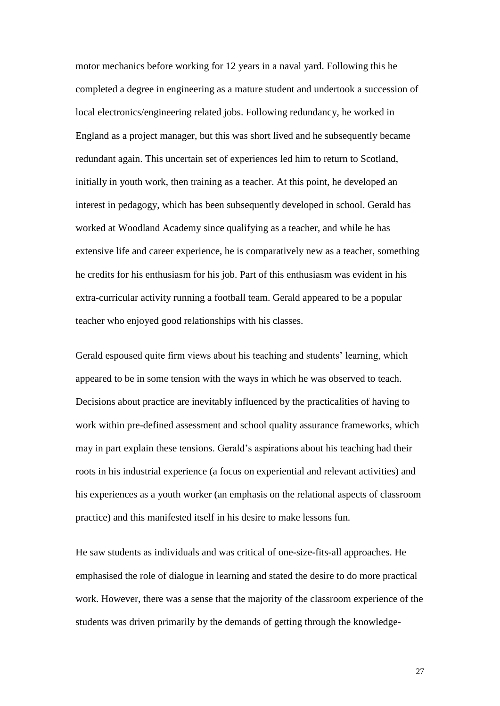motor mechanics before working for 12 years in a naval yard. Following this he completed a degree in engineering as a mature student and undertook a succession of local electronics/engineering related jobs. Following redundancy, he worked in England as a project manager, but this was short lived and he subsequently became redundant again. This uncertain set of experiences led him to return to Scotland, initially in youth work, then training as a teacher. At this point, he developed an interest in pedagogy, which has been subsequently developed in school. Gerald has worked at Woodland Academy since qualifying as a teacher, and while he has extensive life and career experience, he is comparatively new as a teacher, something he credits for his enthusiasm for his job. Part of this enthusiasm was evident in his extra-curricular activity running a football team. Gerald appeared to be a popular teacher who enjoyed good relationships with his classes.

Gerald espoused quite firm views about his teaching and students' learning, which appeared to be in some tension with the ways in which he was observed to teach. Decisions about practice are inevitably influenced by the practicalities of having to work within pre-defined assessment and school quality assurance frameworks, which may in part explain these tensions. Gerald's aspirations about his teaching had their roots in his industrial experience (a focus on experiential and relevant activities) and his experiences as a youth worker (an emphasis on the relational aspects of classroom practice) and this manifested itself in his desire to make lessons fun.

He saw students as individuals and was critical of one-size-fits-all approaches. He emphasised the role of dialogue in learning and stated the desire to do more practical work. However, there was a sense that the majority of the classroom experience of the students was driven primarily by the demands of getting through the knowledge-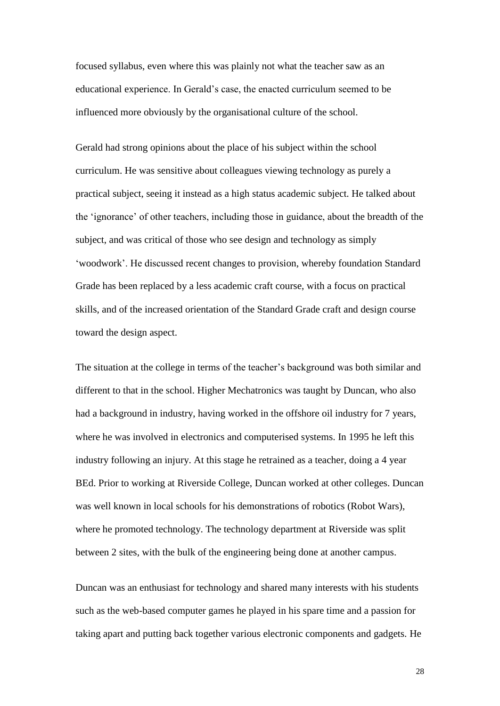focused syllabus, even where this was plainly not what the teacher saw as an educational experience. In Gerald's case, the enacted curriculum seemed to be influenced more obviously by the organisational culture of the school.

Gerald had strong opinions about the place of his subject within the school curriculum. He was sensitive about colleagues viewing technology as purely a practical subject, seeing it instead as a high status academic subject. He talked about the 'ignorance' of other teachers, including those in guidance, about the breadth of the subject, and was critical of those who see design and technology as simply 'woodwork'. He discussed recent changes to provision, whereby foundation Standard Grade has been replaced by a less academic craft course, with a focus on practical skills, and of the increased orientation of the Standard Grade craft and design course toward the design aspect.

The situation at the college in terms of the teacher's background was both similar and different to that in the school. Higher Mechatronics was taught by Duncan, who also had a background in industry, having worked in the offshore oil industry for 7 years, where he was involved in electronics and computerised systems. In 1995 he left this industry following an injury. At this stage he retrained as a teacher, doing a 4 year BEd. Prior to working at Riverside College, Duncan worked at other colleges. Duncan was well known in local schools for his demonstrations of robotics (Robot Wars), where he promoted technology. The technology department at Riverside was split between 2 sites, with the bulk of the engineering being done at another campus.

Duncan was an enthusiast for technology and shared many interests with his students such as the web-based computer games he played in his spare time and a passion for taking apart and putting back together various electronic components and gadgets. He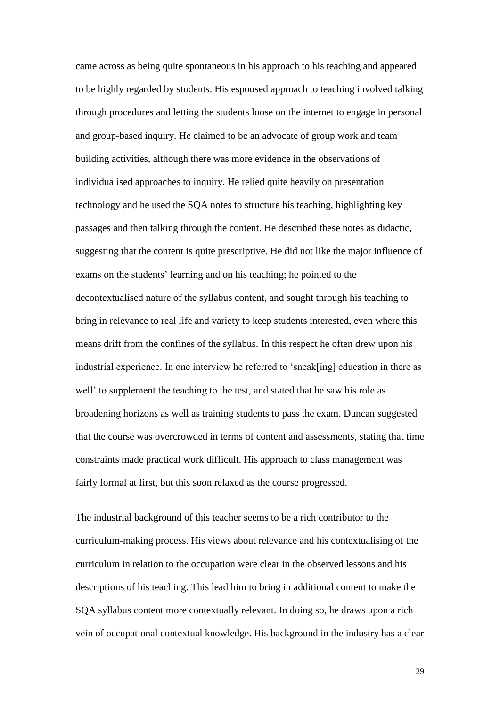came across as being quite spontaneous in his approach to his teaching and appeared to be highly regarded by students. His espoused approach to teaching involved talking through procedures and letting the students loose on the internet to engage in personal and group-based inquiry. He claimed to be an advocate of group work and team building activities, although there was more evidence in the observations of individualised approaches to inquiry. He relied quite heavily on presentation technology and he used the SQA notes to structure his teaching, highlighting key passages and then talking through the content. He described these notes as didactic, suggesting that the content is quite prescriptive. He did not like the major influence of exams on the students' learning and on his teaching; he pointed to the decontextualised nature of the syllabus content, and sought through his teaching to bring in relevance to real life and variety to keep students interested, even where this means drift from the confines of the syllabus. In this respect he often drew upon his industrial experience. In one interview he referred to 'sneak[ing] education in there as well' to supplement the teaching to the test, and stated that he saw his role as broadening horizons as well as training students to pass the exam. Duncan suggested that the course was overcrowded in terms of content and assessments, stating that time constraints made practical work difficult. His approach to class management was fairly formal at first, but this soon relaxed as the course progressed.

The industrial background of this teacher seems to be a rich contributor to the curriculum-making process. His views about relevance and his contextualising of the curriculum in relation to the occupation were clear in the observed lessons and his descriptions of his teaching. This lead him to bring in additional content to make the SQA syllabus content more contextually relevant. In doing so, he draws upon a rich vein of occupational contextual knowledge. His background in the industry has a clear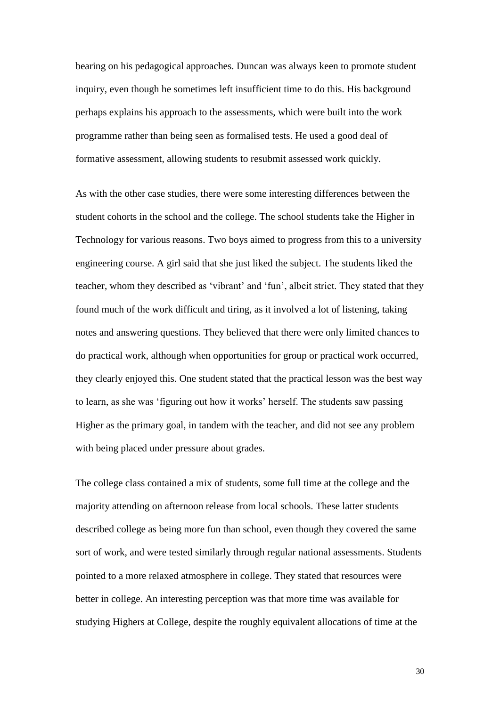bearing on his pedagogical approaches. Duncan was always keen to promote student inquiry, even though he sometimes left insufficient time to do this. His background perhaps explains his approach to the assessments, which were built into the work programme rather than being seen as formalised tests. He used a good deal of formative assessment, allowing students to resubmit assessed work quickly.

As with the other case studies, there were some interesting differences between the student cohorts in the school and the college. The school students take the Higher in Technology for various reasons. Two boys aimed to progress from this to a university engineering course. A girl said that she just liked the subject. The students liked the teacher, whom they described as 'vibrant' and 'fun', albeit strict. They stated that they found much of the work difficult and tiring, as it involved a lot of listening, taking notes and answering questions. They believed that there were only limited chances to do practical work, although when opportunities for group or practical work occurred, they clearly enjoyed this. One student stated that the practical lesson was the best way to learn, as she was 'figuring out how it works' herself. The students saw passing Higher as the primary goal, in tandem with the teacher, and did not see any problem with being placed under pressure about grades.

The college class contained a mix of students, some full time at the college and the majority attending on afternoon release from local schools. These latter students described college as being more fun than school, even though they covered the same sort of work, and were tested similarly through regular national assessments. Students pointed to a more relaxed atmosphere in college. They stated that resources were better in college. An interesting perception was that more time was available for studying Highers at College, despite the roughly equivalent allocations of time at the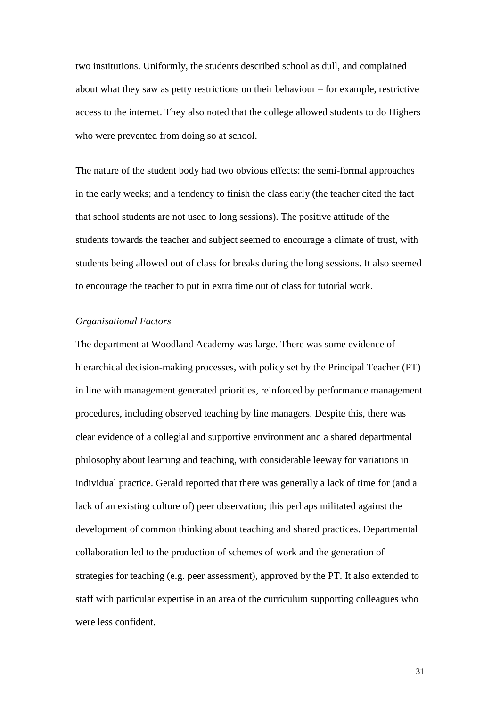two institutions. Uniformly, the students described school as dull, and complained about what they saw as petty restrictions on their behaviour – for example, restrictive access to the internet. They also noted that the college allowed students to do Highers who were prevented from doing so at school.

The nature of the student body had two obvious effects: the semi-formal approaches in the early weeks; and a tendency to finish the class early (the teacher cited the fact that school students are not used to long sessions). The positive attitude of the students towards the teacher and subject seemed to encourage a climate of trust, with students being allowed out of class for breaks during the long sessions. It also seemed to encourage the teacher to put in extra time out of class for tutorial work.

# *Organisational Factors*

The department at Woodland Academy was large. There was some evidence of hierarchical decision-making processes, with policy set by the Principal Teacher (PT) in line with management generated priorities, reinforced by performance management procedures, including observed teaching by line managers. Despite this, there was clear evidence of a collegial and supportive environment and a shared departmental philosophy about learning and teaching, with considerable leeway for variations in individual practice. Gerald reported that there was generally a lack of time for (and a lack of an existing culture of) peer observation; this perhaps militated against the development of common thinking about teaching and shared practices. Departmental collaboration led to the production of schemes of work and the generation of strategies for teaching (e.g. peer assessment), approved by the PT. It also extended to staff with particular expertise in an area of the curriculum supporting colleagues who were less confident.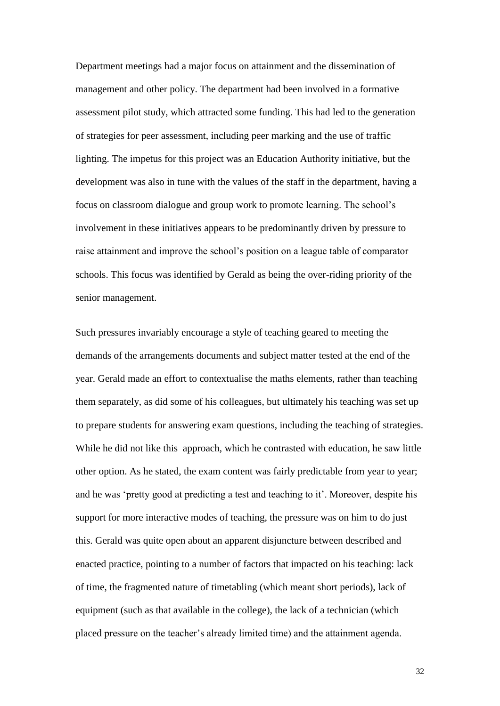Department meetings had a major focus on attainment and the dissemination of management and other policy. The department had been involved in a formative assessment pilot study, which attracted some funding. This had led to the generation of strategies for peer assessment, including peer marking and the use of traffic lighting. The impetus for this project was an Education Authority initiative, but the development was also in tune with the values of the staff in the department, having a focus on classroom dialogue and group work to promote learning. The school's involvement in these initiatives appears to be predominantly driven by pressure to raise attainment and improve the school's position on a league table of comparator schools. This focus was identified by Gerald as being the over-riding priority of the senior management.

Such pressures invariably encourage a style of teaching geared to meeting the demands of the arrangements documents and subject matter tested at the end of the year. Gerald made an effort to contextualise the maths elements, rather than teaching them separately, as did some of his colleagues, but ultimately his teaching was set up to prepare students for answering exam questions, including the teaching of strategies. While he did not like this approach, which he contrasted with education, he saw little other option. As he stated, the exam content was fairly predictable from year to year; and he was 'pretty good at predicting a test and teaching to it'. Moreover, despite his support for more interactive modes of teaching, the pressure was on him to do just this. Gerald was quite open about an apparent disjuncture between described and enacted practice, pointing to a number of factors that impacted on his teaching: lack of time, the fragmented nature of timetabling (which meant short periods), lack of equipment (such as that available in the college), the lack of a technician (which placed pressure on the teacher's already limited time) and the attainment agenda.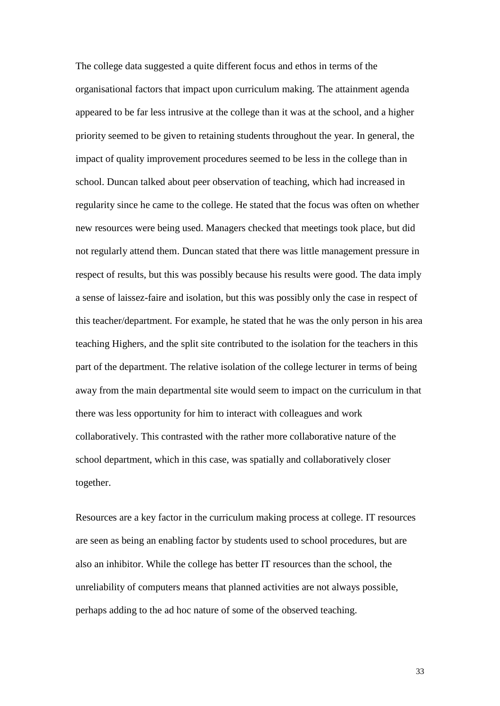The college data suggested a quite different focus and ethos in terms of the organisational factors that impact upon curriculum making. The attainment agenda appeared to be far less intrusive at the college than it was at the school, and a higher priority seemed to be given to retaining students throughout the year. In general, the impact of quality improvement procedures seemed to be less in the college than in school. Duncan talked about peer observation of teaching, which had increased in regularity since he came to the college. He stated that the focus was often on whether new resources were being used. Managers checked that meetings took place, but did not regularly attend them. Duncan stated that there was little management pressure in respect of results, but this was possibly because his results were good. The data imply a sense of laissez-faire and isolation, but this was possibly only the case in respect of this teacher/department. For example, he stated that he was the only person in his area teaching Highers, and the split site contributed to the isolation for the teachers in this part of the department. The relative isolation of the college lecturer in terms of being away from the main departmental site would seem to impact on the curriculum in that there was less opportunity for him to interact with colleagues and work collaboratively. This contrasted with the rather more collaborative nature of the school department, which in this case, was spatially and collaboratively closer together.

Resources are a key factor in the curriculum making process at college. IT resources are seen as being an enabling factor by students used to school procedures, but are also an inhibitor. While the college has better IT resources than the school, the unreliability of computers means that planned activities are not always possible, perhaps adding to the ad hoc nature of some of the observed teaching.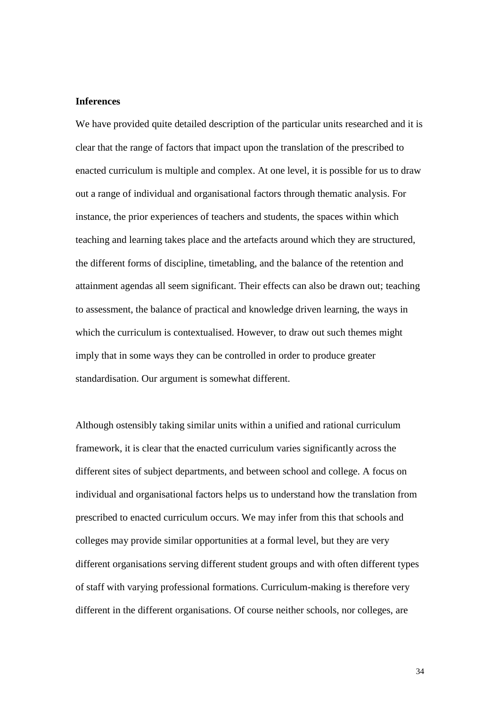## **Inferences**

We have provided quite detailed description of the particular units researched and it is clear that the range of factors that impact upon the translation of the prescribed to enacted curriculum is multiple and complex. At one level, it is possible for us to draw out a range of individual and organisational factors through thematic analysis. For instance, the prior experiences of teachers and students, the spaces within which teaching and learning takes place and the artefacts around which they are structured, the different forms of discipline, timetabling, and the balance of the retention and attainment agendas all seem significant. Their effects can also be drawn out; teaching to assessment, the balance of practical and knowledge driven learning, the ways in which the curriculum is contextualised. However, to draw out such themes might imply that in some ways they can be controlled in order to produce greater standardisation. Our argument is somewhat different.

Although ostensibly taking similar units within a unified and rational curriculum framework, it is clear that the enacted curriculum varies significantly across the different sites of subject departments, and between school and college. A focus on individual and organisational factors helps us to understand how the translation from prescribed to enacted curriculum occurs. We may infer from this that schools and colleges may provide similar opportunities at a formal level, but they are very different organisations serving different student groups and with often different types of staff with varying professional formations. Curriculum-making is therefore very different in the different organisations. Of course neither schools, nor colleges, are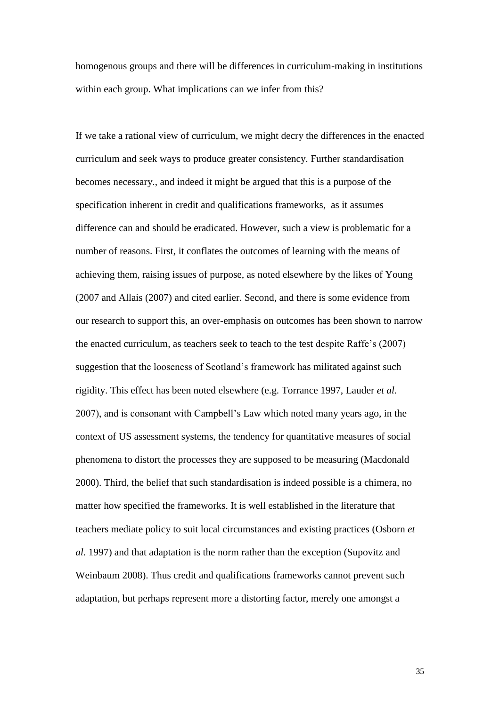homogenous groups and there will be differences in curriculum-making in institutions within each group. What implications can we infer from this?

If we take a rational view of curriculum, we might decry the differences in the enacted curriculum and seek ways to produce greater consistency. Further standardisation becomes necessary., and indeed it might be argued that this is a purpose of the specification inherent in credit and qualifications frameworks, as it assumes difference can and should be eradicated. However, such a view is problematic for a number of reasons. First, it conflates the outcomes of learning with the means of achieving them, raising issues of purpose, as noted elsewhere by the likes of Young (2007 and Allais (2007) and cited earlier. Second, and there is some evidence from our research to support this, an over-emphasis on outcomes has been shown to narrow the enacted curriculum, as teachers seek to teach to the test despite Raffe's (2007) suggestion that the looseness of Scotland's framework has militated against such rigidity. This effect has been noted elsewhere (e.g. Torrance 1997, Lauder *et al.* 2007), and is consonant with Campbell's Law which noted many years ago, in the context of US assessment systems, the tendency for quantitative measures of social phenomena to distort the processes they are supposed to be measuring (Macdonald 2000). Third, the belief that such standardisation is indeed possible is a chimera, no matter how specified the frameworks. It is well established in the literature that teachers mediate policy to suit local circumstances and existing practices (Osborn *et al.* 1997) and that adaptation is the norm rather than the exception (Supovitz and Weinbaum 2008). Thus credit and qualifications frameworks cannot prevent such adaptation, but perhaps represent more a distorting factor, merely one amongst a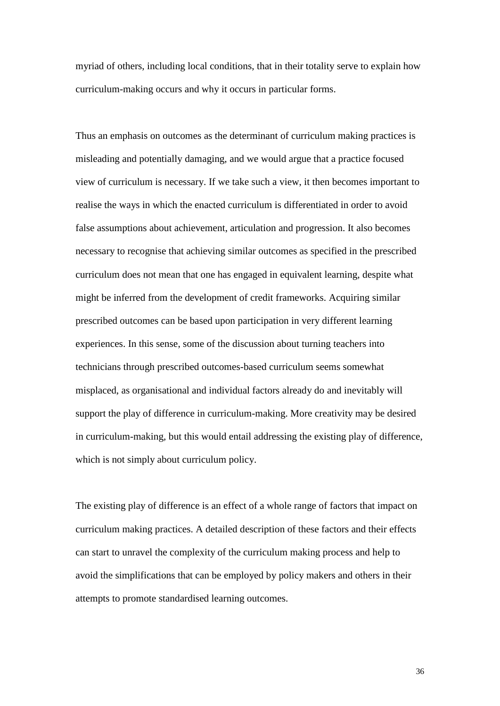myriad of others, including local conditions, that in their totality serve to explain how curriculum-making occurs and why it occurs in particular forms.

Thus an emphasis on outcomes as the determinant of curriculum making practices is misleading and potentially damaging, and we would argue that a practice focused view of curriculum is necessary. If we take such a view, it then becomes important to realise the ways in which the enacted curriculum is differentiated in order to avoid false assumptions about achievement, articulation and progression. It also becomes necessary to recognise that achieving similar outcomes as specified in the prescribed curriculum does not mean that one has engaged in equivalent learning, despite what might be inferred from the development of credit frameworks. Acquiring similar prescribed outcomes can be based upon participation in very different learning experiences. In this sense, some of the discussion about turning teachers into technicians through prescribed outcomes-based curriculum seems somewhat misplaced, as organisational and individual factors already do and inevitably will support the play of difference in curriculum-making. More creativity may be desired in curriculum-making, but this would entail addressing the existing play of difference, which is not simply about curriculum policy.

The existing play of difference is an effect of a whole range of factors that impact on curriculum making practices. A detailed description of these factors and their effects can start to unravel the complexity of the curriculum making process and help to avoid the simplifications that can be employed by policy makers and others in their attempts to promote standardised learning outcomes.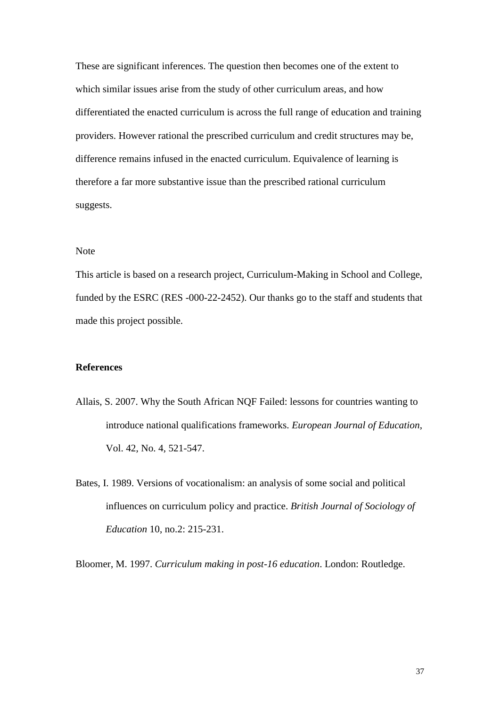These are significant inferences. The question then becomes one of the extent to which similar issues arise from the study of other curriculum areas, and how differentiated the enacted curriculum is across the full range of education and training providers. However rational the prescribed curriculum and credit structures may be, difference remains infused in the enacted curriculum. Equivalence of learning is therefore a far more substantive issue than the prescribed rational curriculum suggests.

## Note

This article is based on a research project, Curriculum-Making in School and College, funded by the ESRC (RES -000-22-2452). Our thanks go to the staff and students that made this project possible.

# **References**

Allais, S. 2007. Why the South African NQF Failed: lessons for countries wanting to introduce national qualifications frameworks. *European Journal of Education*, Vol. 42, No. 4, 521-547.

Bates, I. 1989. Versions of vocationalism: an analysis of some social and political influences on curriculum policy and practice. *British Journal of Sociology of Education* 10, no.2: 215-231.

Bloomer, M. 1997. *Curriculum making in post-16 education*. London: Routledge.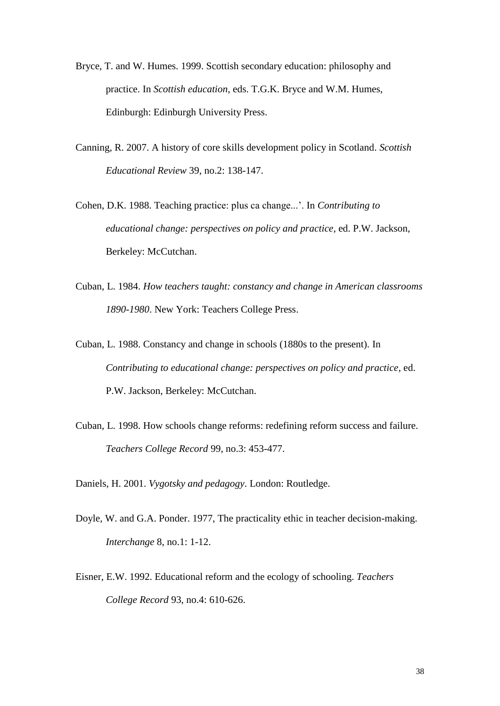- Bryce, T. and W. Humes. 1999. Scottish secondary education: philosophy and practice. In *Scottish education,* eds. T.G.K. Bryce and W.M. Humes, Edinburgh: Edinburgh University Press.
- Canning, R. 2007. A history of core skills development policy in Scotland. *Scottish Educational Review* 39, no.2: 138-147.
- Cohen, D.K. 1988. Teaching practice: plus ca change...'. In *Contributing to educational change: perspectives on policy and practice*, ed. P.W. Jackson, Berkeley: McCutchan.
- Cuban, L. 1984. *How teachers taught: constancy and change in American classrooms 1890-1980*. New York: Teachers College Press.
- Cuban, L. 1988. Constancy and change in schools (1880s to the present). In *Contributing to educational change: perspectives on policy and practice*, ed. P.W. Jackson, Berkeley: McCutchan.
- Cuban, L. 1998. How schools change reforms: redefining reform success and failure. *Teachers College Record* 99, no.3: 453-477.
- Daniels, H. 2001. *Vygotsky and pedagogy*. London: Routledge.
- Doyle, W. and G.A. Ponder. 1977, The practicality ethic in teacher decision-making. *Interchange* 8, no.1: 1-12.
- Eisner, E.W. 1992. Educational reform and the ecology of schooling. *Teachers College Record* 93, no.4: 610-626.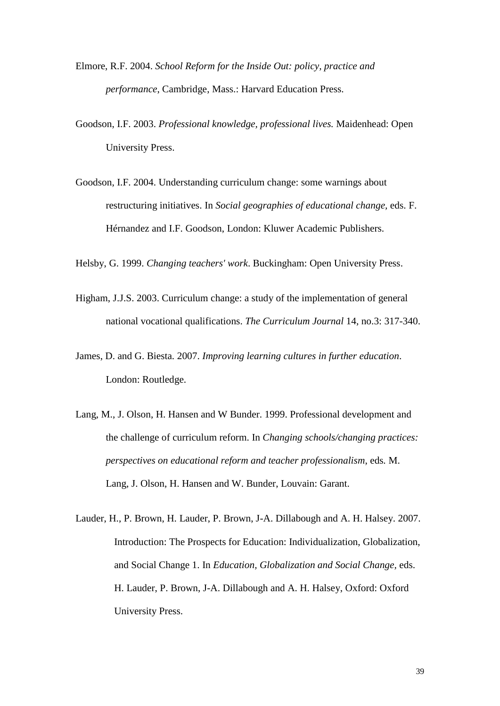- Elmore, R.F. 2004. *School Reform for the Inside Out: policy, practice and performance*, Cambridge, Mass.: Harvard Education Press.
- Goodson, I.F. 2003. *Professional knowledge, professional lives.* Maidenhead: Open University Press.
- Goodson, I.F. 2004. Understanding curriculum change: some warnings about restructuring initiatives. In *Social geographies of educational change,* eds. F. Hérnandez and I.F. Goodson, London: Kluwer Academic Publishers.
- Helsby, G. 1999. *Changing teachers' work*. Buckingham: Open University Press.
- Higham, J.J.S. 2003. Curriculum change: a study of the implementation of general national vocational qualifications. *The Curriculum Journal* 14, no.3: 317-340.
- James, D. and G. Biesta. 2007. *Improving learning cultures in further education*. London: Routledge.
- Lang, M., J. Olson, H. Hansen and W Bunder. 1999. Professional development and the challenge of curriculum reform. In *Changing schools/changing practices: perspectives on educational reform and teacher professionalism*, eds*.* M. Lang, J. Olson, H. Hansen and W. Bunder, Louvain: Garant.
- Lauder, H., P. Brown, [H. Lauder, P. Brown, J-A.](http://www.oup.com/uk/catalogue/?ci=9780199272532#authors) Dillabough and A. H. Halsey. 2007. Introduction: The Prospects for Education: Individualization, Globalization, and Social Change 1. In *Education, Globalization and Social Change,* eds. [H. Lauder, P. Brown, J-A.](http://www.oup.com/uk/catalogue/?ci=9780199272532#authors) Dillabough and A. H. Halsey, Oxford: Oxford University Press.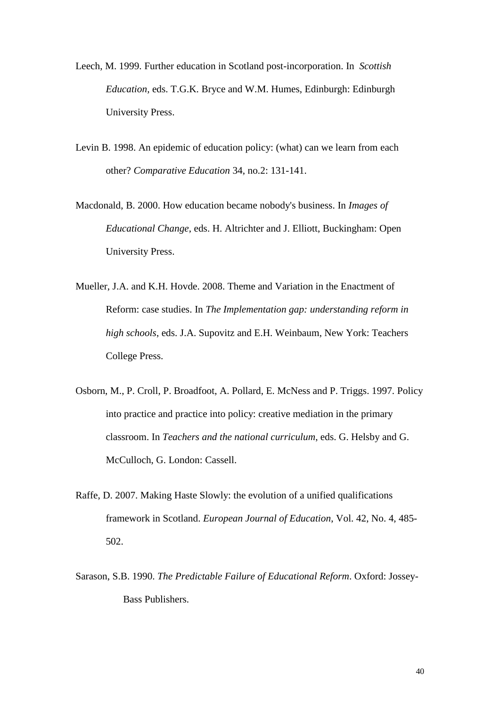- Leech, M. 1999. Further education in Scotland post-incorporation. In *Scottish Education,* eds. T.G.K. Bryce and W.M. Humes, Edinburgh: Edinburgh University Press.
- Levin B. 1998. An epidemic of education policy: (what) can we learn from each other? *Comparative Education* 34, no.2: 131-141.
- Macdonald, B. 2000. How education became nobody's business. In *Images of Educational Change*, eds. H. Altrichter and J. Elliott, Buckingham: Open University Press.
- Mueller, J.A. and K.H. Hovde. 2008. Theme and Variation in the Enactment of Reform: case studies. In *The Implementation gap: understanding reform in high schools*, eds. J.A. Supovitz and E.H. Weinbaum, New York: Teachers College Press.
- Osborn, M., P. Croll, P. Broadfoot, A. Pollard, E. McNess and P. Triggs. 1997. Policy into practice and practice into policy: creative mediation in the primary classroom. In *Teachers and the national curriculum*, eds. G. Helsby and G. McCulloch, G. London: Cassell.
- Raffe, D. 2007. Making Haste Slowly: the evolution of a unified qualifications framework in Scotland. *European Journal of Education*, Vol. 42, No. 4, 485- 502.
- Sarason, S.B. 1990. *The Predictable Failure of Educational Reform*. Oxford: Jossey-Bass Publishers.